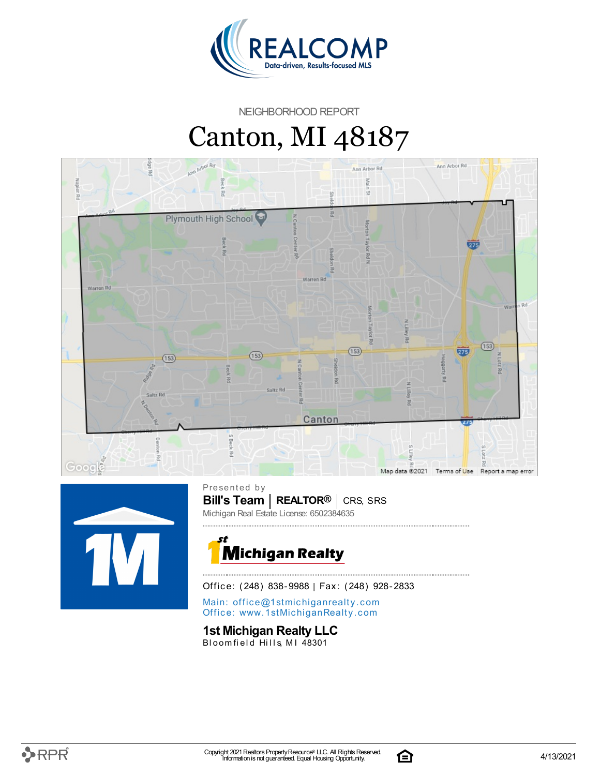

NEIGHBORHOOD REPORT

# Canton, MI 48187





**Bill's Team** | REALTOR<sup>®</sup> | CRS, SRS Presented by Michigan Real Estate License: 6502384635



Office: (248) 838-9988 | Fax: (248) 928-2833

Main: o[ffi](mailto:office@1stmichiganrealty.com)ce@1stmichiganrealty.com Office: [www.](https://www.1stmichiganrealty.com/)1stMichiganRealty.com

**1st Michigan Realty LLC**

Bloomfield Hills, MI 48301

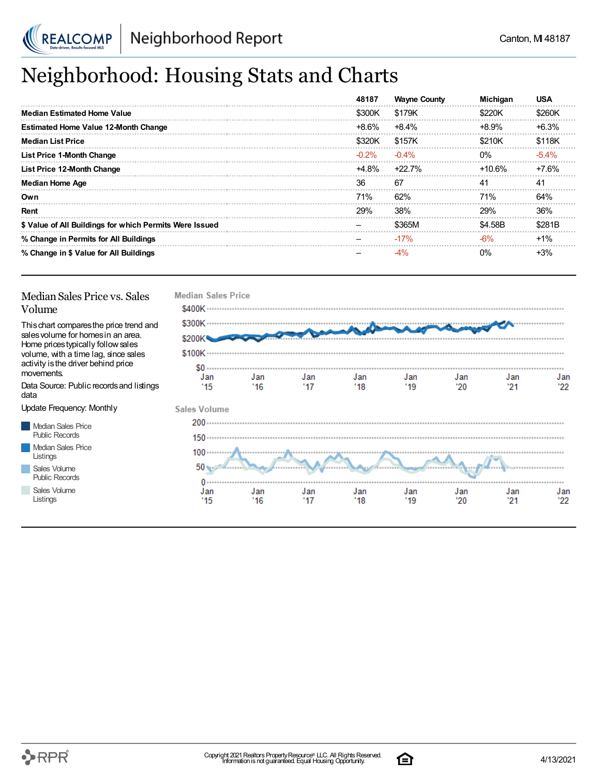

# Neighborhood: Housing Stats and Charts

|                                                         | 48187    | <b>Wayne County</b> | <b>Michigan</b> | USA     |
|---------------------------------------------------------|----------|---------------------|-----------------|---------|
| <b>Median Estimated Home Value</b>                      | \$300K   | \$179K              | \$220K          | \$260K  |
| <b>Estimated Home Value 12-Month Change</b>             | +8.6%    | $+8.4%$             | $+8.9%$         | $+6.3%$ |
| <b>Median List Price</b>                                | \$320K   | \$157K              | \$210K          | \$118K  |
| <b>List Price 1-Month Change</b>                        | $-0.2\%$ | $-0.4\%$            | $0\%$           | $-5.4%$ |
| List Price 12-Month Change                              | +4.8%    | +22.7%              | +10.6%          | +7.6%   |
| <b>Median Home Age</b>                                  | 36       | 67                  | 41              | 41      |
| Own                                                     | 71%      | 62%                 | <b>71%</b>      | 64%     |
| Rent                                                    | 29%      | 38%                 | 29%             | 36%     |
| \$ Value of All Buildings for which Permits Were Issued |          | \$365M              | \$4.58B         | \$281B  |
| % Change in Permits for All Buildings                   |          | $-17%$              | -6%             | $+1\%$  |
| % Change in \$ Value for All Buildings                  |          |                     | $0\%$           | $+3%$   |

#### Median Sales Price vs. Sales Volume

Thischart comparesthe price trend and salesvolume for homesin an area. Home pricestypically followsales volume, with a time lag, since sales activity is the driver behind price movements.

Data Source: Public recordsand listings data

Update Frequency: Monthly

Median Sales Price Public Records Median Sales Price Listings Sales Volume Public Records

Sales Volume

Listings



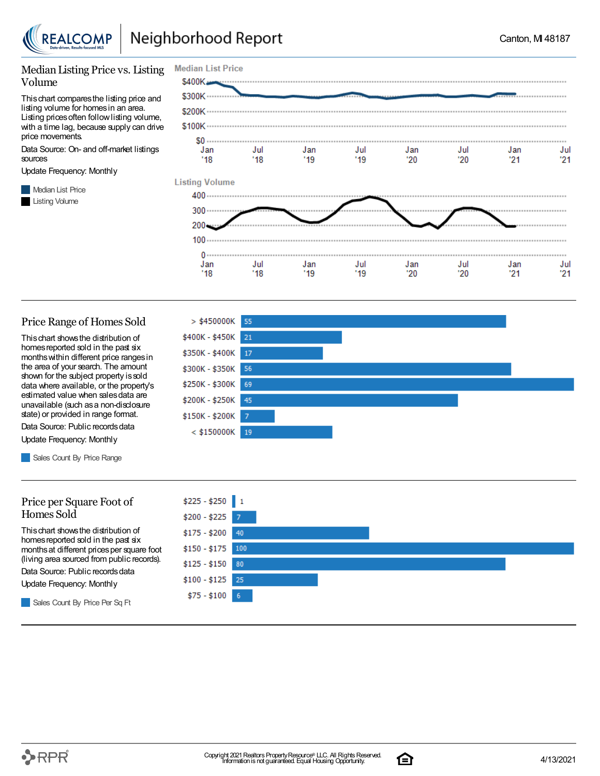

#### Median Listing Price vs. Listing Volume

Thischart comparesthe listing price and listing volume for homesin an area. Listing prices often follow listing volume, with a time lag, because supply can drive price movements.

Data Source: On- and off-market listings sources

Update Frequency: Monthly

**Median List Price** Listing Volume



#### Price Range of Homes Sold

Thischart showsthe distribution of homes reported sold in the past six monthswithin different price rangesin the area of your search. The amount shown for the subject property is sold data where available, or the property's estimated value when salesdata are unavailable (such asa non-disclosure state) or provided in range format.

Data Source: Public records data Update Frequency: Monthly

Sales Count By Price Range

#### Price per Square Foot of Homes Sold

Thischart showsthe distribution of homes reported sold in the past six monthsat different pricesper square foot (living area sourced from public records).

Data Source: Public records data

Update Frequency: Monthly

Sales Count By Price Per Sq Ft





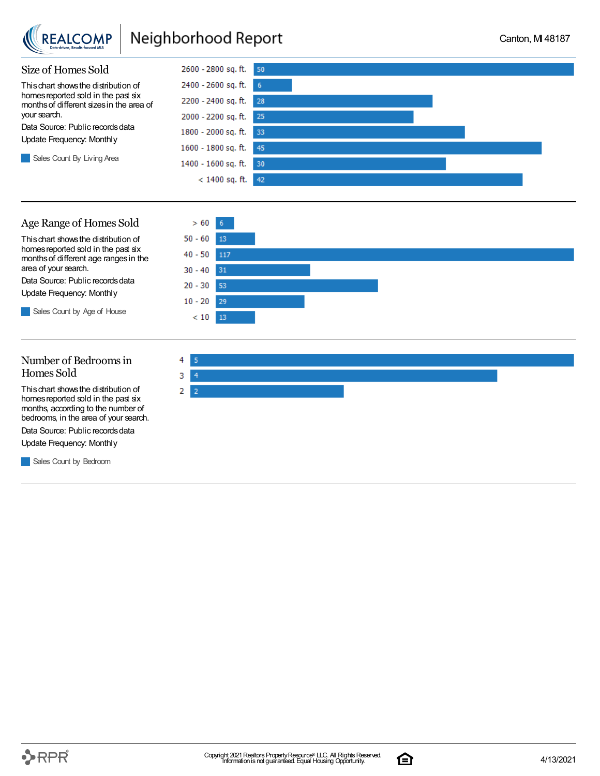

### Neighborhood Report



### Age Range of Homes Sold

Thischart showsthe distribution of homes reported sold in the past six monthsof different age rangesin the area of your search.

Data Source: Public records data Update Frequency: Monthly

Sales Count by Age of House



### Number of Bedroomsin Homes Sold

Thischart showsthe distribution of homes reported sold in the past six months, according to the number of bedrooms, in the area of your search.

Data Source: Public records data

Update Frequency: Monthly

Sales Count by Bedroom



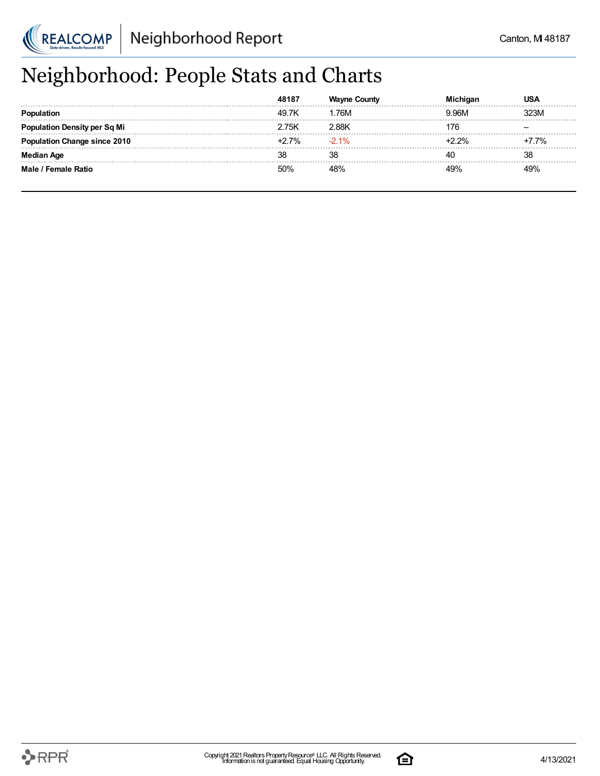

# Neighborhood: People Stats and Charts

|                                | 49.7K   | .76M   | .96M          | <b>23M</b> |
|--------------------------------|---------|--------|---------------|------------|
| tion Density per Sq Mi         | 2.75K   | 2.88K  | 76            |            |
| <b>vtion Change since 2010</b> | $+2.7%$ | $-21%$ | <u>ገ 2% ነ</u> | $+7.7%$    |
| Aae                            | 38      | 38     |               | 38         |
| Male / Female Ratio            | 50%     |        |               | 49%        |

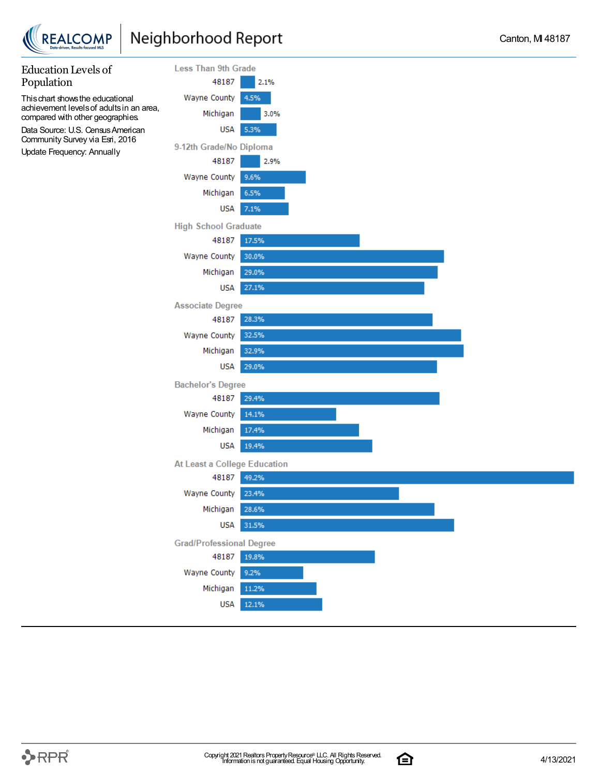



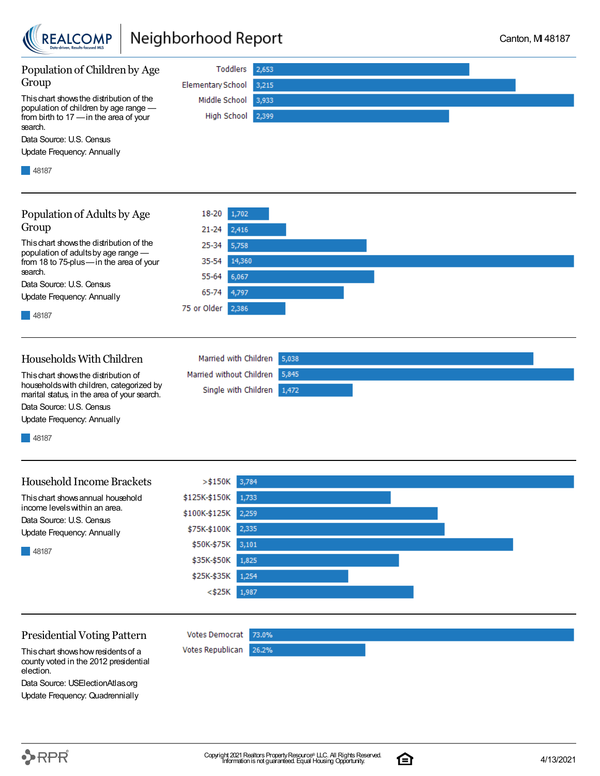

### Neighborhood Report



county voted in the 2012 presidential election. Data Source: USElectionAtlas.org

Update Frequency: Quadrennially

 $\rightarrow$ RPR $^{\circ}$ 

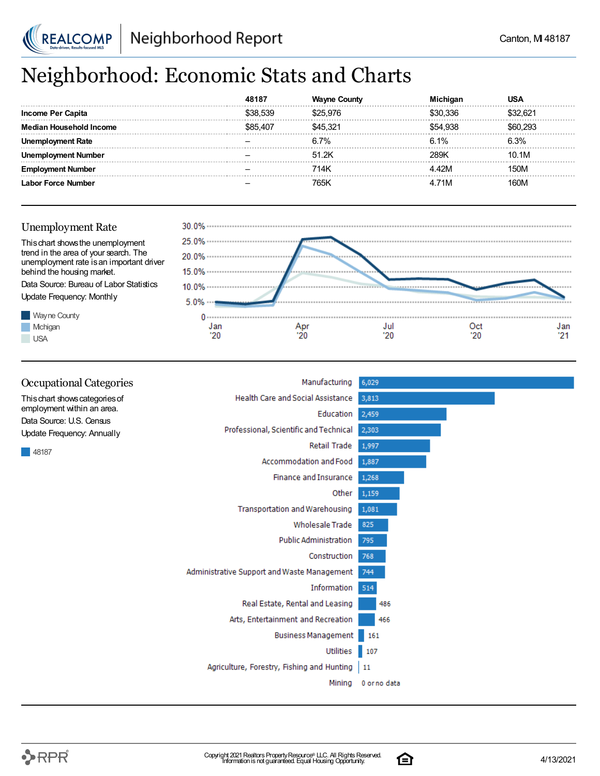

# Neighborhood: Economic Stats and Charts

|                           |          |         |        | JSA     |
|---------------------------|----------|---------|--------|---------|
| Income Per Capita         | \$38.539 | 525 97F | 336    | :32 R21 |
| <b>n Household Income</b> | 207 ،    | 45.321  | 54.938 | , 293   |
| งloyment Rate             |          | 6.7%    | 6.1%   | 6.3%    |
| Number                    |          | 51.2K   | 289K   | 10.1M   |
| Number                    |          | 714K    | '2M    | 150M    |
| Labor Force Number        |          | 765K    | 71M    | 160M    |





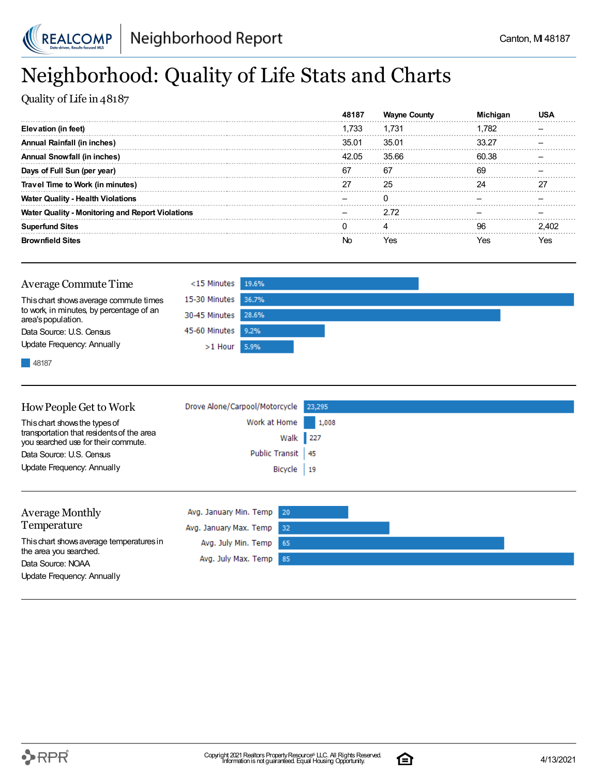

## Neighborhood: Quality of Life Stats and Charts

Quality of Life in 48187

|                                                         | 48187 | <b>Wayne County</b> |       |       |
|---------------------------------------------------------|-------|---------------------|-------|-------|
| Elevation (in feet)                                     | 1.733 | 1.731               | ∣.782 |       |
| Annual Rainfall (in inches)                             | 35.01 | 35.01               | 33.27 |       |
| Annual Snowfall (in inches)                             | 42.05 | 35.66               | 60.38 |       |
| Days of Full Sun (per year)                             | 67    | 67                  | 69    |       |
| Travel Time to Work (in minutes)                        | 27    | 25                  | 24    | דר    |
| <sup>.</sup> Qualitv - Health Violations<br>Water       |       |                     |       |       |
| <b>Water Quality - Monitoring and Report Violations</b> |       | 2.72                |       |       |
| <b>Superfund Sites</b>                                  |       |                     | 96    | 2 AN2 |
| <b>Brownfield Sites</b>                                 | Nn    | Yes                 | res   | es?   |

| <b>Average Commute Time</b>                                    | $<$ 15 Minutes 19.6% |  |
|----------------------------------------------------------------|----------------------|--|
| This chart shows average commute times                         | 15-30 Minutes 36.7%  |  |
| to work, in minutes, by percentage of an<br>area's population. | 30-45 Minutes 28.6%  |  |
| Data Source: U.S. Census                                       | 45-60 Minutes 9.2%   |  |
| Update Frequency: Annually                                     | $>1$ Hour 5.9%       |  |
|                                                                |                      |  |

48187

| How People Get to Work                                                           | Drove Alone/Carpool/Motorcycle 23,295 |       |
|----------------------------------------------------------------------------------|---------------------------------------|-------|
| This chart shows the types of                                                    | Work at Home                          | 1,008 |
| transportation that residents of the area<br>you searched use for their commute. | Walk 227                              |       |
| Data Source: U.S. Census                                                         | Public Transit 45                     |       |
| Update Frequency: Annually                                                       | Bicycle   19                          |       |
|                                                                                  |                                       |       |
|                                                                                  |                                       |       |

| <b>Average Monthly</b>                      | Avg. January Min. Temp 20 |  |  |
|---------------------------------------------|---------------------------|--|--|
| Temperature                                 | Avg. January Max. Temp 32 |  |  |
| This chart shows average temperatures in    | Avg. July Min. Temp 65    |  |  |
| the area you searched.<br>Data Source: NOAA | Avg. July Max. Temp 85    |  |  |
| Update Frequency: Annually                  |                           |  |  |

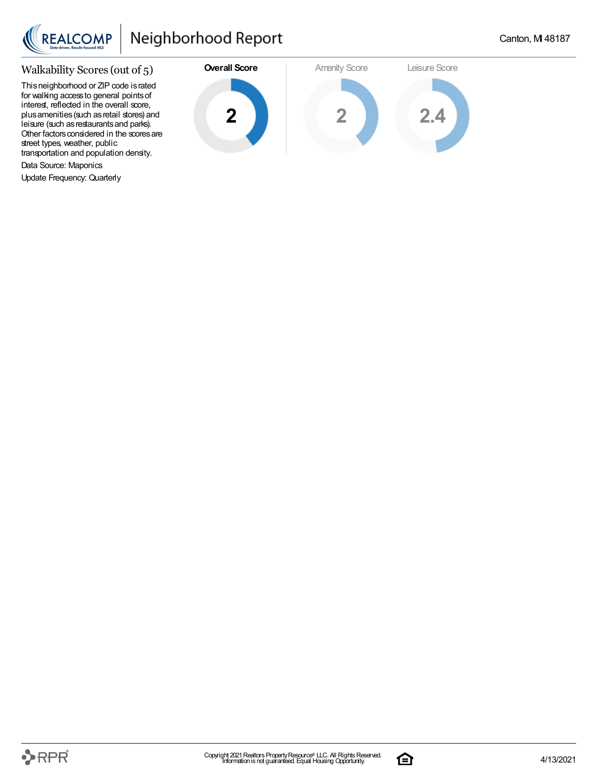

### Walkability Scores (out of 5)

This neighborhood or ZIP code is rated for walking accessto general pointsof interest, reflected in the overall score, plus amenities (such as retail stores) and leisure (such asrestaurantsand parks). Other factors considered in the scores are street types, weather, public transportation and population density.

Data Source: Maponics

Update Frequency: Quarterly